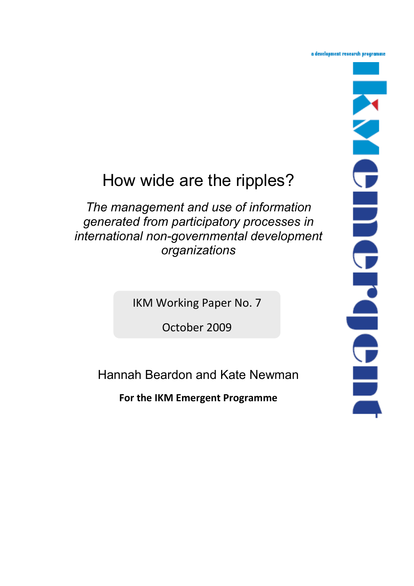a development research programme

# How wide are the ripples?

*The management and use of information generated from participatory processes in international non-governmental development organizations*

IKM Working Paper No. 7

October 2009

Hannah Beardon and Kate Newman

**For the IKM Emergent Programme**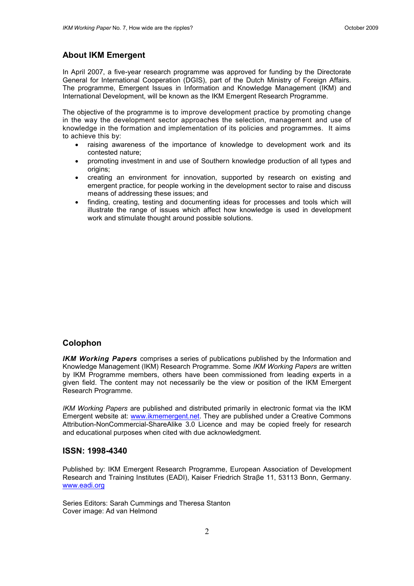# **About IKM Emergent**

In April 2007, a five-year research programme was approved for funding by the Directorate General for International Cooperation (DGIS), part of the Dutch Ministry of Foreign Affairs. The programme, Emergent Issues in Information and Knowledge Management (IKM) and International Development, will be known as the IKM Emergent Research Programme.

The objective of the programme is to improve development practice by promoting change in the way the development sector approaches the selection, management and use of knowledge in the formation and implementation of its policies and programmes. It aims to achieve this by:

- raising awareness of the importance of knowledge to development work and its contested nature;
- promoting investment in and use of Southern knowledge production of all types and origins;
- creating an environment for innovation, supported by research on existing and emergent practice, for people working in the development sector to raise and discuss means of addressing these issues; and
- finding, creating, testing and documenting ideas for processes and tools which will illustrate the range of issues which affect how knowledge is used in development work and stimulate thought around possible solutions.

#### **Colophon**

*IKM Working Papers* comprises a series of publications published by the Information and Knowledge Management (IKM) Research Programme. Some *IKM Working Papers* are written by IKM Programme members, others have been commissioned from leading experts in a given field. The content may not necessarily be the view or position of the IKM Emergent Research Programme.

*IKM Working Papers* are published and distributed primarily in electronic format via the IKM Emergent website at: [www.ikmemergent.net.](http://www.ikmemergent.net/) They are published under a Creative Commons Attribution-NonCommercial-ShareAlike 3.0 Licence and may be copied freely for research and educational purposes when cited with due acknowledgment.

## **ISSN: 1998-4340**

Published by: IKM Emergent Research Programme, European Association of Development Research and Training Institutes (EADI), Kaiser Friedrich Straβe 11, 53113 Bonn, Germany. [www.eadi.org](http://www.eadi.org/)

Series Editors: Sarah Cummings and Theresa Stanton Cover image: Ad van Helmond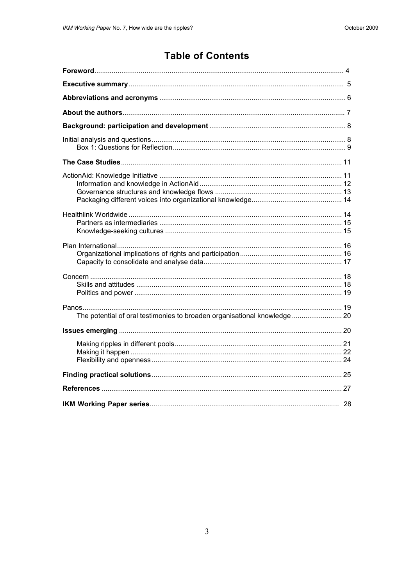# **Table of Contents**

| The potential of oral testimonies to broaden organisational knowledge 20 |
|--------------------------------------------------------------------------|
|                                                                          |
|                                                                          |
|                                                                          |
|                                                                          |
|                                                                          |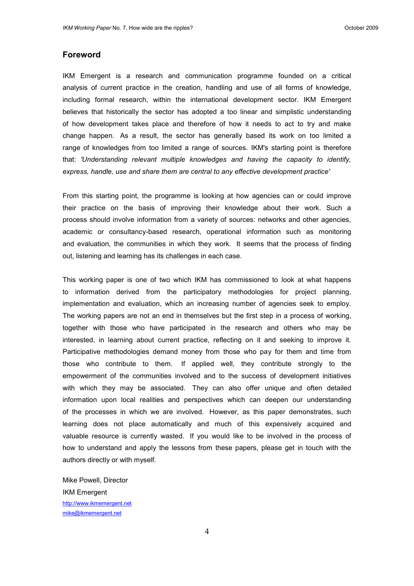# <span id="page-3-0"></span>**Foreword**

IKM Emergent is a research and communication programme founded on a critical analysis of current practice in the creation, handling and use of all forms of knowledge, including formal research, within the international development sector. IKM Emergent believes that historically the sector has adopted a too linear and simplistic understanding of how development takes place and therefore of how it needs to act to try and make change happen. As a result, the sector has generally based its work on too limited a range of knowledges from too limited a range of sources. IKM's starting point is therefore that: *'Understanding relevant multiple knowledges and having the capacity to identify, express, handle, use and share them are central to any effective development practice'*

From this starting point, the programme is looking at how agencies can or could improve their practice on the basis of improving their knowledge about their work. Such a process should involve information from a variety of sources: networks and other agencies, academic or consultancy-based research, operational information such as monitoring and evaluation, the communities in which they work. It seems that the process of finding out, listening and learning has its challenges in each case.

This working paper is one of two which IKM has commissioned to look at what happens to information derived from the participatory methodologies for project planning, implementation and evaluation, which an increasing number of agencies seek to employ. The working papers are not an end in themselves but the first step in a process of working, together with those who have participated in the research and others who may be interested, in learning about current practice, reflecting on it and seeking to improve it. Participative methodologies demand money from those who pay for them and time from those who contribute to them. If applied well, they contribute strongly to the empowerment of the communities involved and to the success of development initiatives with which they may be associated. They can also offer unique and often detailed information upon local realities and perspectives which can deepen our understanding of the processes in which we are involved. However, as this paper demonstrates, such learning does not place automatically and much of this expensively acquired and valuable resource is currently wasted. If you would like to be involved in the process of how to understand and apply the lessons from these papers, please get in touch with the authors directly or with myself.

Mike Powell, Director IKM Emergent [http://www.ikmemergent.net](http://www.ikmemergent.net/) [mike@ikmemergent.net](mailto:mike@ikmemergent.net)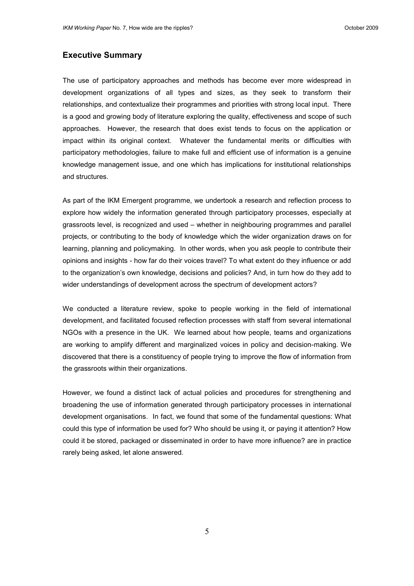# **Executive Summary**

The use of participatory approaches and methods has become ever more widespread in development organizations of all types and sizes, as they seek to transform their relationships, and contextualize their programmes and priorities with strong local input. There is a good and growing body of literature exploring the quality, effectiveness and scope of such approaches. However, the research that does exist tends to focus on the application or impact within its original context. Whatever the fundamental merits or difficulties with participatory methodologies, failure to make full and efficient use of information is a genuine knowledge management issue, and one which has implications for institutional relationships and structures.

As part of the IKM Emergent programme, we undertook a research and reflection process to explore how widely the information generated through participatory processes, especially at grassroots level, is recognized and used – whether in neighbouring programmes and parallel projects, or contributing to the body of knowledge which the wider organization draws on for learning, planning and policymaking. In other words, when you ask people to contribute their opinions and insights - how far do their voices travel? To what extent do they influence or add to the organization"s own knowledge, decisions and policies? And, in turn how do they add to wider understandings of development across the spectrum of development actors?

We conducted a literature review, spoke to people working in the field of international development, and facilitated focused reflection processes with staff from several international NGOs with a presence in the UK. We learned about how people, teams and organizations are working to amplify different and marginalized voices in policy and decision-making. We discovered that there is a constituency of people trying to improve the flow of information from the grassroots within their organizations.

However, we found a distinct lack of actual policies and procedures for strengthening and broadening the use of information generated through participatory processes in international development organisations. In fact, we found that some of the fundamental questions: What could this type of information be used for? Who should be using it, or paying it attention? How could it be stored, packaged or disseminated in order to have more influence? are in practice rarely being asked, let alone answered.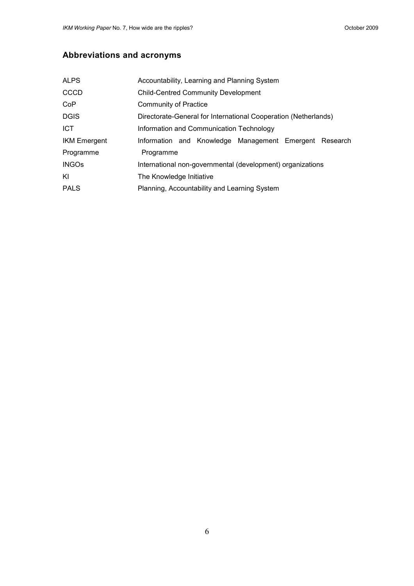# <span id="page-5-0"></span>**Abbreviations and acronyms**

| <b>ALPS</b>         | Accountability, Learning and Planning System                    |
|---------------------|-----------------------------------------------------------------|
| <b>CCCD</b>         | <b>Child-Centred Community Development</b>                      |
| Co <sub>P</sub>     | <b>Community of Practice</b>                                    |
| <b>DGIS</b>         | Directorate-General for International Cooperation (Netherlands) |
| <b>ICT</b>          | Information and Communication Technology                        |
| <b>IKM Emergent</b> | Information and Knowledge Management Emergent Research          |
| Programme           | Programme                                                       |
| <b>INGOs</b>        | International non-governmental (development) organizations      |
| KI                  | The Knowledge Initiative                                        |
| <b>PALS</b>         | Planning, Accountability and Learning System                    |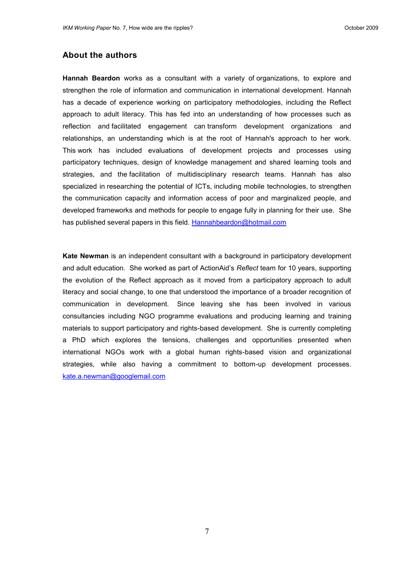# **About the authors**

**Hannah Beardon** works as a consultant with a variety of organizations, to explore and strengthen the role of information and communication in international development. Hannah has a decade of experience working on participatory methodologies, including the Reflect approach to adult literacy. This has fed into an understanding of how processes such as reflection and facilitated engagement can transform development organizations and relationships, an understanding which is at the root of Hannah's approach to her work. This work has included evaluations of development projects and processes using participatory techniques, design of knowledge management and shared learning tools and strategies, and the facilitation of multidisciplinary research teams. Hannah has also specialized in researching the potential of ICTs, including mobile technologies, to strengthen the communication capacity and information access of poor and marginalized people, and developed frameworks and methods for people to engage fully in planning for their use. She has published several papers in this field. [Hannahbeardon@hotmail.com](mailto:Hannahbeardon@hotmail.com)

**Kate Newman** is an independent consultant with a background in participatory development and adult education. She worked as part of ActionAid"s *Reflect* team for 10 years, supporting the evolution of the Reflect approach as it moved from a participatory approach to adult literacy and social change, to one that understood the importance of a broader recognition of communication in development. Since leaving she has been involved in various consultancies including NGO programme evaluations and producing learning and training materials to support participatory and rights-based development. She is currently completing a PhD which explores the tensions, challenges and opportunities presented when international NGOs work with a global human rights-based vision and organizational strategies, while also having a commitment to bottom-up development processes. [kate.a.newman@googlemail.com](mailto:kate.a.newman@googlemail.com)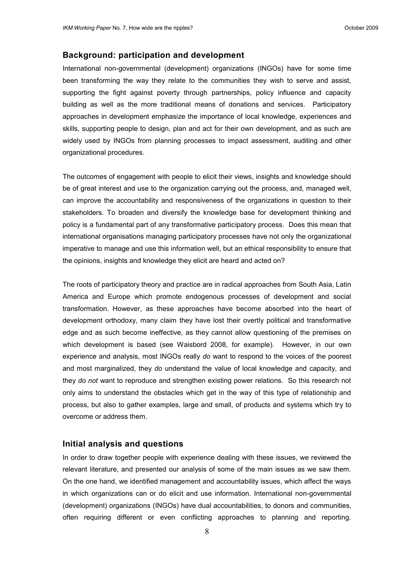# **Background: participation and development**

International non-governmental (development) organizations (INGOs) have for some time been transforming the way they relate to the communities they wish to serve and assist, supporting the fight against poverty through partnerships, policy influence and capacity building as well as the more traditional means of donations and services. Participatory approaches in development emphasize the importance of local knowledge, experiences and skills, supporting people to design, plan and act for their own development, and as such are widely used by INGOs from planning processes to impact assessment, auditing and other organizational procedures.

The outcomes of engagement with people to elicit their views, insights and knowledge should be of great interest and use to the organization carrying out the process, and, managed well, can improve the accountability and responsiveness of the organizations in question to their stakeholders. To broaden and diversify the knowledge base for development thinking and policy is a fundamental part of any transformative participatory process. Does this mean that international organisations managing participatory processes have not only the organizational imperative to manage and use this information well, but an ethical responsibility to ensure that the opinions, insights and knowledge they elicit are heard and acted on?

The roots of participatory theory and practice are in radical approaches from South Asia, Latin America and Europe which promote endogenous processes of development and social transformation. However, as these approaches have become absorbed into the heart of development orthodoxy, many claim they have lost their overtly political and transformative edge and as such become ineffective, as they cannot allow questioning of the premises on which development is based (see Waisbord 2008, for example). However, in our own experience and analysis, most INGOs really *do* want to respond to the voices of the poorest and most marginalized, they *do* understand the value of local knowledge and capacity, and they *do not* want to reproduce and strengthen existing power relations. So this research not only aims to understand the obstacles which get in the way of this type of relationship and process, but also to gather examples, large and small, of products and systems which try to overcome or address them.

#### <span id="page-7-0"></span>**Initial analysis and questions**

In order to draw together people with experience dealing with these issues, we reviewed the relevant literature, and presented our analysis of some of the main issues as we saw them. On the one hand, we identified management and accountability issues, which affect the ways in which organizations can or do elicit and use information. International non-governmental (development) organizations (INGOs) have dual accountabilities, to donors and communities, often requiring different or even conflicting approaches to planning and reporting.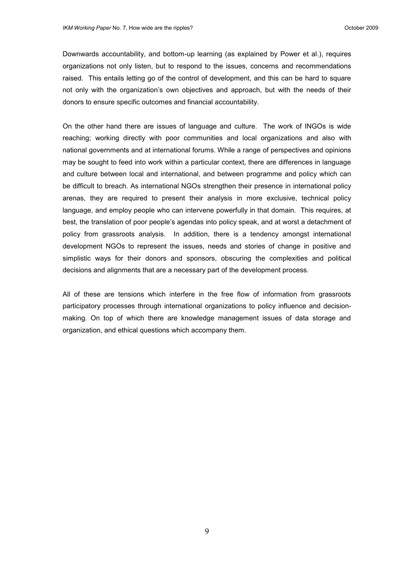Downwards accountability, and bottom-up learning (as explained by Power et al.), requires organizations not only listen, but to respond to the issues, concerns and recommendations raised. This entails letting go of the control of development, and this can be hard to square not only with the organization"s own objectives and approach, but with the needs of their donors to ensure specific outcomes and financial accountability.

On the other hand there are issues of language and culture. The work of INGOs is wide reaching; working directly with poor communities and local organizations and also with national governments and at international forums. While a range of perspectives and opinions may be sought to feed into work within a particular context, there are differences in language and culture between local and international, and between programme and policy which can be difficult to breach. As international NGOs strengthen their presence in international policy arenas, they are required to present their analysis in more exclusive, technical policy language, and employ people who can intervene powerfully in that domain. This requires, at best, the translation of poor people"s agendas into policy speak, and at worst a detachment of policy from grassroots analysis. In addition, there is a tendency amongst international development NGOs to represent the issues, needs and stories of change in positive and simplistic ways for their donors and sponsors, obscuring the complexities and political decisions and alignments that are a necessary part of the development process.

All of these are tensions which interfere in the free flow of information from grassroots participatory processes through international organizations to policy influence and decisionmaking. On top of which there are knowledge management issues of data storage and organization, and ethical questions which accompany them.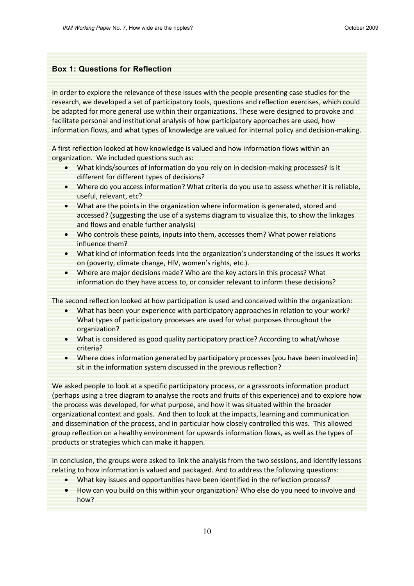# **Box 1: Questions for Reflection**

In order to explore the relevance of these issues with the people presenting case studies for the research, we developed a set of participatory tools, questions and reflection exercises, which could be adapted for more general use within their organizations. These were designed to provoke and facilitate personal and institutional analysis of how participatory approaches are used, how information flows, and what types of knowledge are valued for internal policy and decision-making.

A first reflection looked at how knowledge is valued and how information flows within an organization. We included questions such as:

- What kinds/sources of information do you rely on in decision-making processes? Is it different for different types of decisions?
- Where do you access information? What criteria do you use to assess whether it is reliable, useful, relevant, etc?
- What are the points in the organization where information is generated, stored and accessed? (suggesting the use of a systems diagram to visualize this, to show the linkages and flows and enable further analysis)
- Who controls these points, inputs into them, accesses them? What power relations influence them?
- What kind of information feeds into the organization's understanding of the issues it works on (poverty, climate change, HIV, women's rights, etc.).
- Where are major decisions made? Who are the key actors in this process? What information do they have access to, or consider relevant to inform these decisions?

The second reflection looked at how participation is used and conceived within the organization:

- What has been your experience with participatory approaches in relation to your work? What types of participatory processes are used for what purposes throughout the organization?
- What is considered as good quality participatory practice? According to what/whose criteria?
- Where does information generated by participatory processes (you have been involved in) sit in the information system discussed in the previous reflection?

We asked people to look at a specific participatory process, or a grassroots information product (perhaps using a tree diagram to analyse the roots and fruits of this experience) and to explore how the process was developed, for what purpose, and how it was situated within the broader organizational context and goals. And then to look at the impacts, learning and communication and dissemination of the process, and in particular how closely controlled this was. This allowed group reflection on a healthy environment for upwards information flows, as well as the types of products or strategies which can make it happen.

In conclusion, the groups were asked to link the analysis from the two sessions, and identify lessons relating to how information is valued and packaged. And to address the following questions:

- What key issues and opportunities have been identified in the reflection process?
- How can you build on this within your organization? Who else do you need to involve and how?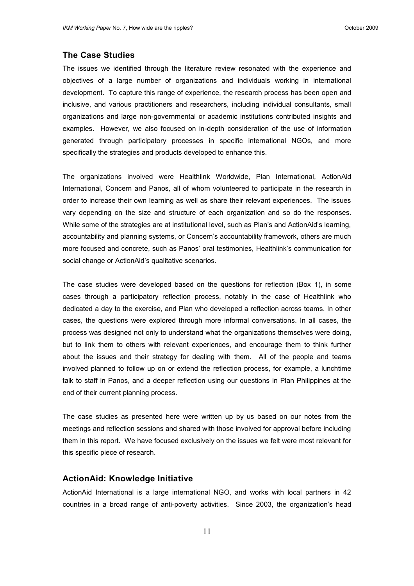# <span id="page-10-0"></span>**The Case Studies**

The issues we identified through the literature review resonated with the experience and objectives of a large number of organizations and individuals working in international development. To capture this range of experience, the research process has been open and inclusive, and various practitioners and researchers, including individual consultants, small organizations and large non-governmental or academic institutions contributed insights and examples. However, we also focused on in-depth consideration of the use of information generated through participatory processes in specific international NGOs, and more specifically the strategies and products developed to enhance this.

The organizations involved were Healthlink Worldwide, Plan International, ActionAid International, Concern and Panos, all of whom volunteered to participate in the research in order to increase their own learning as well as share their relevant experiences. The issues vary depending on the size and structure of each organization and so do the responses. While some of the strategies are at institutional level, such as Plan"s and ActionAid"s learning, accountability and planning systems, or Concern"s accountability framework, others are much more focused and concrete, such as Panos" oral testimonies, Healthlink"s communication for social change or ActionAid"s qualitative scenarios.

The case studies were developed based on the questions for reflection (Box 1), in some cases through a participatory reflection process, notably in the case of Healthlink who dedicated a day to the exercise, and Plan who developed a reflection across teams. In other cases, the questions were explored through more informal conversations. In all cases, the process was designed not only to understand what the organizations themselves were doing, but to link them to others with relevant experiences, and encourage them to think further about the issues and their strategy for dealing with them. All of the people and teams involved planned to follow up on or extend the reflection process, for example, a lunchtime talk to staff in Panos, and a deeper reflection using our questions in Plan Philippines at the end of their current planning process.

The case studies as presented here were written up by us based on our notes from the meetings and reflection sessions and shared with those involved for approval before including them in this report. We have focused exclusively on the issues we felt were most relevant for this specific piece of research.

# <span id="page-10-1"></span>**ActionAid: Knowledge Initiative**

ActionAid International is a large international NGO, and works with local partners in 42 countries in a broad range of anti-poverty activities. Since 2003, the organization"s head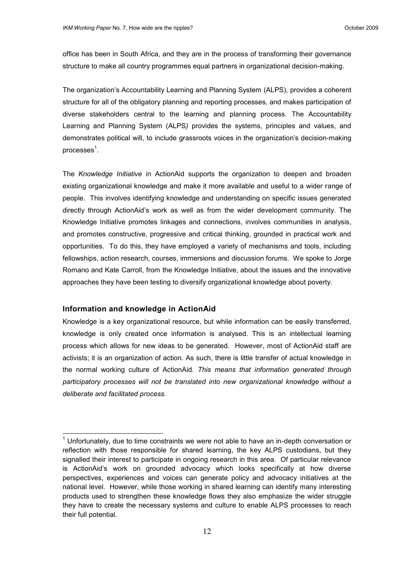office has been in South Africa, and they are in the process of transforming their governance structure to make all country programmes equal partners in organizational decision-making.

The organization"s Accountability Learning and Planning System (ALPS), provides a coherent structure for all of the obligatory planning and reporting processes, and makes participation of diverse stakeholders central to the learning and planning process. The Accountability Learning and Planning System (ALPS*)* provides the systems, principles and values, and demonstrates political will, to include grassroots voices in the organization"s decision-making processes $^{\rm 1}.$ 

The *Knowledge Initiative* in ActionAid supports the organization to deepen and broaden existing organizational knowledge and make it more available and useful to a wider range of people. This involves identifying knowledge and understanding on specific issues generated directly through ActionAid"s work as well as from the wider development community. The Knowledge Initiative promotes linkages and connections, involves communities in analysis, and promotes constructive, progressive and critical thinking, grounded in practical work and opportunities. To do this, they have employed a variety of mechanisms and tools, including fellowships, action research, courses, immersions and discussion forums. We spoke to Jorge Romano and Kate Carroll, from the Knowledge Initiative, about the issues and the innovative approaches they have been testing to diversify organizational knowledge about poverty.

#### <span id="page-11-0"></span>**Information and knowledge in ActionAid**

 $\overline{a}$ 

Knowledge is a key organizational resource, but while information can be easily transferred, knowledge is only created once information is analysed. This is an intellectual learning process which allows for new ideas to be generated. However, most of ActionAid staff are activists; it is an organization of action. As such, there is little transfer of actual knowledge in the normal working culture of ActionAid. *This means that information generated through participatory processes will not be translated into new organizational knowledge without a deliberate and facilitated process.* 

 $1$  Unfortunately, due to time constraints we were not able to have an in-depth conversation or reflection with those responsible for shared learning, the key ALPS custodians, but they signalled their interest to participate in ongoing research in this area. Of particular relevance is ActionAid"s work on grounded advocacy which looks specifically at how diverse perspectives, experiences and voices can generate policy and advocacy initiatives at the national level. However, while those working in shared learning can identify many interesting products used to strengthen these knowledge flows they also emphasize the wider struggle they have to create the necessary systems and culture to enable ALPS processes to reach their full potential.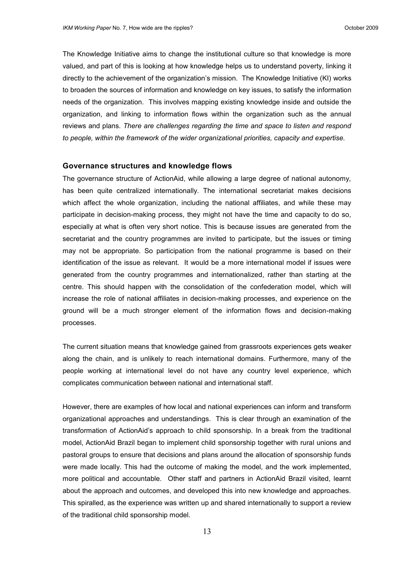The Knowledge Initiative aims to change the institutional culture so that knowledge is more valued, and part of this is looking at how knowledge helps us to understand poverty, linking it directly to the achievement of the organization"s mission. The Knowledge Initiative (KI) works to broaden the sources of information and knowledge on key issues, to satisfy the information needs of the organization. This involves mapping existing knowledge inside and outside the organization, and linking to information flows within the organization such as the annual reviews and plans. *There are challenges regarding the time and space to listen and respond to people, within the framework of the wider organizational priorities, capacity and expertise.* 

#### <span id="page-12-0"></span>**Governance structures and knowledge flows**

The governance structure of ActionAid, while allowing a large degree of national autonomy, has been quite centralized internationally. The international secretariat makes decisions which affect the whole organization, including the national affiliates, and while these may participate in decision-making process, they might not have the time and capacity to do so, especially at what is often very short notice. This is because issues are generated from the secretariat and the country programmes are invited to participate, but the issues or timing may not be appropriate. So participation from the national programme is based on their identification of the issue as relevant. It would be a more international model if issues were generated from the country programmes and internationalized, rather than starting at the centre. This should happen with the consolidation of the confederation model, which will increase the role of national affiliates in decision-making processes, and experience on the ground will be a much stronger element of the information flows and decision-making processes.

The current situation means that knowledge gained from grassroots experiences gets weaker along the chain, and is unlikely to reach international domains. Furthermore, many of the people working at international level do not have any country level experience, which complicates communication between national and international staff.

However, there are examples of how local and national experiences can inform and transform organizational approaches and understandings. This is clear through an examination of the transformation of ActionAid"s approach to child sponsorship. In a break from the traditional model, ActionAid Brazil began to implement child sponsorship together with rural unions and pastoral groups to ensure that decisions and plans around the allocation of sponsorship funds were made locally. This had the outcome of making the model, and the work implemented, more political and accountable. Other staff and partners in ActionAid Brazil visited, learnt about the approach and outcomes, and developed this into new knowledge and approaches. This spiralled, as the experience was written up and shared internationally to support a review of the traditional child sponsorship model.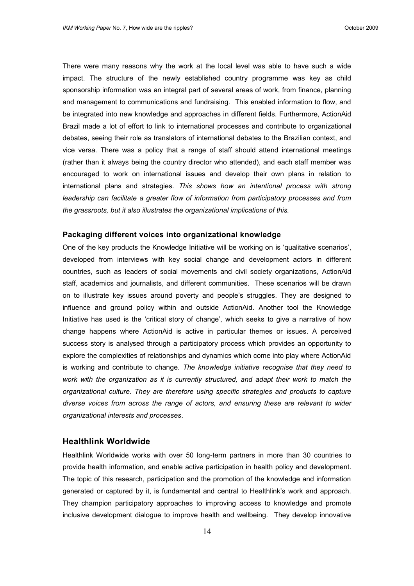There were many reasons why the work at the local level was able to have such a wide impact. The structure of the newly established country programme was key as child sponsorship information was an integral part of several areas of work, from finance, planning and management to communications and fundraising. This enabled information to flow, and be integrated into new knowledge and approaches in different fields. Furthermore, ActionAid Brazil made a lot of effort to link to international processes and contribute to organizational debates, seeing their role as translators of international debates to the Brazilian context, and vice versa. There was a policy that a range of staff should attend international meetings (rather than it always being the country director who attended), and each staff member was encouraged to work on international issues and develop their own plans in relation to international plans and strategies. *This shows how an intentional process with strong leadership can facilitate a greater flow of information from participatory processes and from the grassroots, but it also illustrates the organizational implications of this.*

#### <span id="page-13-0"></span>**Packaging different voices into organizational knowledge**

One of the key products the Knowledge Initiative will be working on is "qualitative scenarios", developed from interviews with key social change and development actors in different countries, such as leaders of social movements and civil society organizations, ActionAid staff, academics and journalists, and different communities. These scenarios will be drawn on to illustrate key issues around poverty and people"s struggles. They are designed to influence and ground policy within and outside ActionAid. Another tool the Knowledge Initiative has used is the "critical story of change", which seeks to give a narrative of how change happens where ActionAid is active in particular themes or issues. A perceived success story is analysed through a participatory process which provides an opportunity to explore the complexities of relationships and dynamics which come into play where ActionAid is working and contribute to change. *The knowledge initiative recognise that they need to work with the organization as it is currently structured, and adapt their work to match the organizational culture. They are therefore using specific strategies and products to capture diverse voices from across the range of actors, and ensuring these are relevant to wider organizational interests and processes*.

### <span id="page-13-1"></span>**Healthlink Worldwide**

Healthlink Worldwide works with over 50 long-term partners in more than 30 countries to provide health information, and enable active participation in health policy and development. The topic of this research, participation and the promotion of the knowledge and information generated or captured by it, is fundamental and central to Healthlink"s work and approach. They champion participatory approaches to improving access to knowledge and promote inclusive development dialogue to improve health and wellbeing. They develop innovative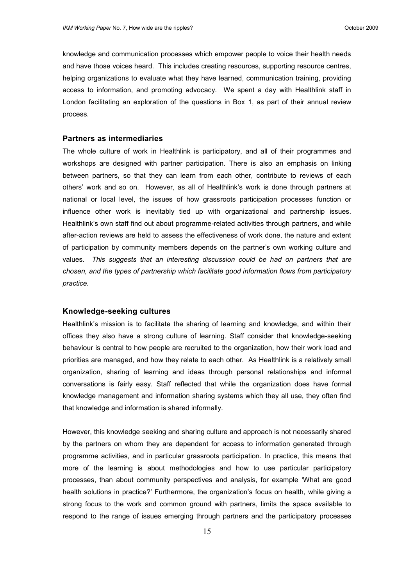knowledge and communication processes which empower people to voice their health needs and have those voices heard. This includes creating resources, supporting resource centres, helping organizations to evaluate what they have learned, communication training, providing access to information, and promoting advocacy. We spent a day with Healthlink staff in London facilitating an exploration of the questions in Box 1, as part of their annual review process.

#### <span id="page-14-0"></span>**Partners as intermediaries**

The whole culture of work in Healthlink is participatory, and all of their programmes and workshops are designed with partner participation. There is also an emphasis on linking between partners, so that they can learn from each other, contribute to reviews of each others" work and so on. However, as all of Healthlink"s work is done through partners at national or local level, the issues of how grassroots participation processes function or influence other work is inevitably tied up with organizational and partnership issues. Healthlink's own staff find out about programme-related activities through partners, and while after-action reviews are held to assess the effectiveness of work done, the nature and extent of participation by community members depends on the partner"s own working culture and values. *This suggests that an interesting discussion could be had on partners that are chosen, and the types of partnership which facilitate good information flows from participatory practice.*

#### <span id="page-14-1"></span>**Knowledge-seeking cultures**

Healthlink's mission is to facilitate the sharing of learning and knowledge, and within their offices they also have a strong culture of learning. Staff consider that knowledge-seeking behaviour is central to how people are recruited to the organization, how their work load and priorities are managed, and how they relate to each other. As Healthlink is a relatively small organization, sharing of learning and ideas through personal relationships and informal conversations is fairly easy. Staff reflected that while the organization does have formal knowledge management and information sharing systems which they all use, they often find that knowledge and information is shared informally.

However, this knowledge seeking and sharing culture and approach is not necessarily shared by the partners on whom they are dependent for access to information generated through programme activities, and in particular grassroots participation. In practice, this means that more of the learning is about methodologies and how to use particular participatory processes, than about community perspectives and analysis, for example "What are good health solutions in practice?' Furthermore, the organization's focus on health, while giving a strong focus to the work and common ground with partners, limits the space available to respond to the range of issues emerging through partners and the participatory processes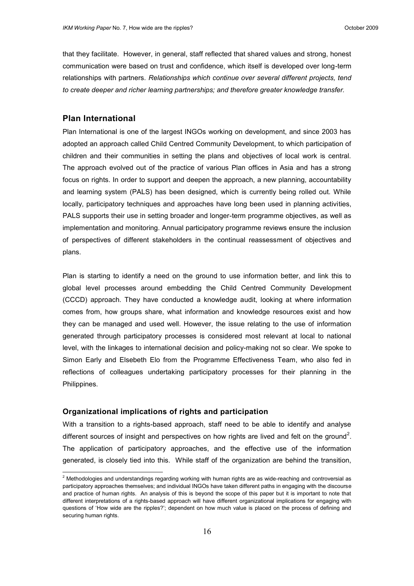that they facilitate. However, in general, staff reflected that shared values and strong, honest communication were based on trust and confidence, which itself is developed over long-term relationships with partners. *Relationships which continue over several different projects, tend to create deeper and richer learning partnerships; and therefore greater knowledge transfer.*

# <span id="page-15-0"></span>**Plan International**

 $\overline{a}$ 

Plan International is one of the largest INGOs working on development, and since 2003 has adopted an approach called Child Centred Community Development, to which participation of children and their communities in setting the plans and objectives of local work is central. The approach evolved out of the practice of various Plan offices in Asia and has a strong focus on rights. In order to support and deepen the approach, a new planning, accountability and learning system (PALS) has been designed, which is currently being rolled out. While locally, participatory techniques and approaches have long been used in planning activities, PALS supports their use in setting broader and longer-term programme objectives, as well as implementation and monitoring. Annual participatory programme reviews ensure the inclusion of perspectives of different stakeholders in the continual reassessment of objectives and plans.

Plan is starting to identify a need on the ground to use information better, and link this to global level processes around embedding the Child Centred Community Development (CCCD) approach. They have conducted a knowledge audit, looking at where information comes from, how groups share, what information and knowledge resources exist and how they can be managed and used well. However, the issue relating to the use of information generated through participatory processes is considered most relevant at local to national level, with the linkages to international decision and policy-making not so clear. We spoke to Simon Early and Elsebeth Elo from the Programme Effectiveness Team, who also fed in reflections of colleagues undertaking participatory processes for their planning in the Philippines.

#### <span id="page-15-1"></span>**Organizational implications of rights and participation**

With a transition to a rights-based approach, staff need to be able to identify and analyse different sources of insight and perspectives on how rights are lived and felt on the ground<sup>2</sup>. The application of participatory approaches, and the effective use of the information generated, is closely tied into this. While staff of the organization are behind the transition,

 $^2$  Methodologies and understandings regarding working with human rights are as wide-reaching and controversial as participatory approaches themselves; and individual INGOs have taken different paths in engaging with the discourse and practice of human rights. An analysis of this is beyond the scope of this paper but it is important to note that different interpretations of a rights-based approach will have different organizational implications for engaging with questions of "How wide are the ripples?"; dependent on how much value is placed on the process of defining and securing human rights.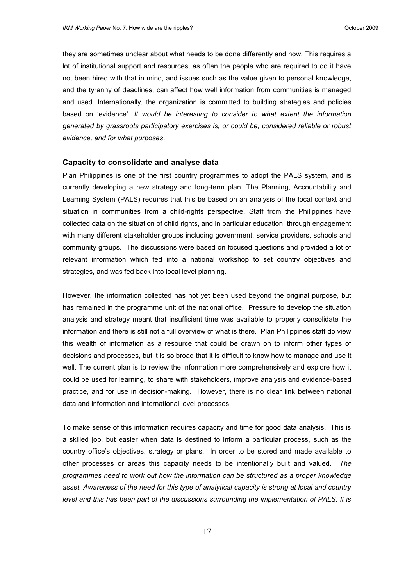they are sometimes unclear about what needs to be done differently and how. This requires a lot of institutional support and resources, as often the people who are required to do it have not been hired with that in mind, and issues such as the value given to personal knowledge, and the tyranny of deadlines, can affect how well information from communities is managed and used. Internationally, the organization is committed to building strategies and policies based on "evidence". *It would be interesting to consider to what extent the information generated by grassroots participatory exercises is, or could be, considered reliable or robust evidence, and for what purposes*.

# <span id="page-16-0"></span>**Capacity to consolidate and analyse data**

Plan Philippines is one of the first country programmes to adopt the PALS system, and is currently developing a new strategy and long-term plan. The Planning, Accountability and Learning System (PALS) requires that this be based on an analysis of the local context and situation in communities from a child-rights perspective. Staff from the Philippines have collected data on the situation of child rights, and in particular education, through engagement with many different stakeholder groups including government, service providers, schools and community groups. The discussions were based on focused questions and provided a lot of relevant information which fed into a national workshop to set country objectives and strategies, and was fed back into local level planning.

However, the information collected has not yet been used beyond the original purpose, but has remained in the programme unit of the national office. Pressure to develop the situation analysis and strategy meant that insufficient time was available to properly consolidate the information and there is still not a full overview of what is there. Plan Philippines staff do view this wealth of information as a resource that could be drawn on to inform other types of decisions and processes, but it is so broad that it is difficult to know how to manage and use it well. The current plan is to review the information more comprehensively and explore how it could be used for learning, to share with stakeholders, improve analysis and evidence-based practice, and for use in decision-making. However, there is no clear link between national data and information and international level processes.

To make sense of this information requires capacity and time for good data analysis. This is a skilled job, but easier when data is destined to inform a particular process, such as the country office"s objectives, strategy or plans. In order to be stored and made available to other processes or areas this capacity needs to be intentionally built and valued. *The programmes need to work out how the information can be structured as a proper knowledge*  asset. Awareness of the need for this type of analytical capacity is strong at local and country *level and this has been part of the discussions surrounding the implementation of PALS. It is*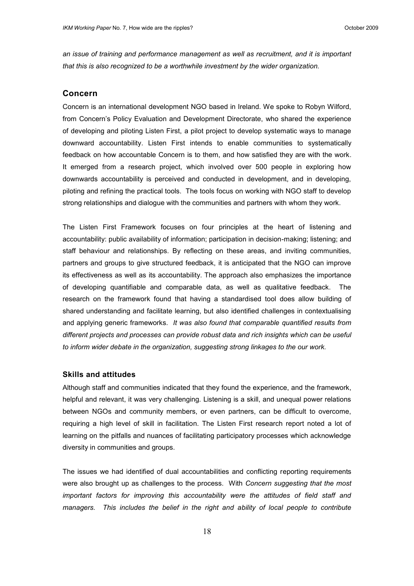*an issue of training and performance management as well as recruitment, and it is important that this is also recognized to be a worthwhile investment by the wider organization.*

#### <span id="page-17-0"></span>**Concern**

Concern is an international development NGO based in Ireland. We spoke to Robyn Wilford, from Concern"s Policy Evaluation and Development Directorate, who shared the experience of developing and piloting Listen First, a pilot project to develop systematic ways to manage downward accountability. Listen First intends to enable communities to systematically feedback on how accountable Concern is to them, and how satisfied they are with the work. It emerged from a research project, which involved over 500 people in exploring how downwards accountability is perceived and conducted in development, and in developing, piloting and refining the practical tools. The tools focus on working with NGO staff to develop strong relationships and dialogue with the communities and partners with whom they work.

The Listen First Framework focuses on four principles at the heart of listening and accountability: public availability of information; participation in decision-making; listening; and staff behaviour and relationships. By reflecting on these areas, and inviting communities, partners and groups to give structured feedback, it is anticipated that the NGO can improve its effectiveness as well as its accountability. The approach also emphasizes the importance of developing quantifiable and comparable data, as well as qualitative feedback. The research on the framework found that having a standardised tool does allow building of shared understanding and facilitate learning, but also identified challenges in contextualising and applying generic frameworks*. It was also found that comparable quantified results from different projects and processes can provide robust data and rich insights which can be useful to inform wider debate in the organization, suggesting strong linkages to the our work.*

#### <span id="page-17-1"></span>**Skills and attitudes**

Although staff and communities indicated that they found the experience, and the framework, helpful and relevant, it was very challenging. Listening is a skill, and unequal power relations between NGOs and community members, or even partners, can be difficult to overcome, requiring a high level of skill in facilitation. The Listen First research report noted a lot of learning on the pitfalls and nuances of facilitating participatory processes which acknowledge diversity in communities and groups.

The issues we had identified of dual accountabilities and conflicting reporting requirements were also brought up as challenges to the process. With *Concern suggesting that the most important factors for improving this accountability were the attitudes of field staff and managers. This includes the belief in the right and ability of local people to contribute*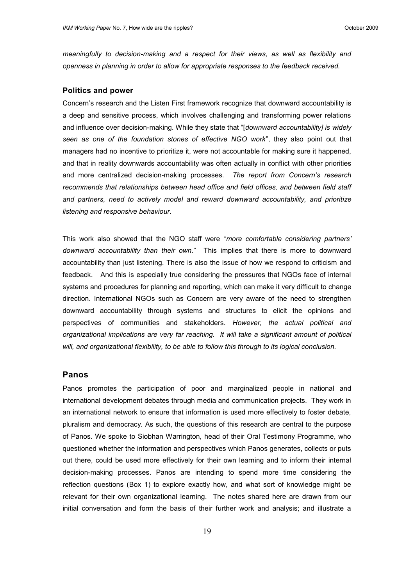*meaningfully to decision-making and a respect for their views, as well as flexibility and openness in planning in order to allow for appropriate responses to the feedback received.* 

#### <span id="page-18-0"></span>**Politics and power**

Concern"s research and the Listen First framework recognize that downward accountability is a deep and sensitive process, which involves challenging and transforming power relations and influence over decision-making. While they state that "[*downward accountability] is widely seen as one of the foundation stones of effective NGO work*", they also point out that managers had no incentive to prioritize it, were not accountable for making sure it happened, and that in reality downwards accountability was often actually in conflict with other priorities and more centralized decision-making processes. *The report from Concern's research recommends that relationships between head office and field offices, and between field staff and partners, need to actively model and reward downward accountability, and prioritize listening and responsive behaviour.*

This work also showed that the NGO staff were "*more comfortable considering partners' downward accountability than their own*." This implies that there is more to downward accountability than just listening. There is also the issue of how we respond to criticism and feedback. And this is especially true considering the pressures that NGOs face of internal systems and procedures for planning and reporting, which can make it very difficult to change direction. International NGOs such as Concern are very aware of the need to strengthen downward accountability through systems and structures to elicit the opinions and perspectives of communities and stakeholders. *However, the actual political and organizational implications are very far reaching. It will take a significant amount of political will, and organizational flexibility, to be able to follow this through to its logical conclusion.*

#### <span id="page-18-1"></span>**Panos**

Panos promotes the participation of poor and marginalized people in national and international development debates through media and communication projects. They work in an international network to ensure that information is used more effectively to foster debate, pluralism and democracy. As such, the questions of this research are central to the purpose of Panos. We spoke to Siobhan Warrington, head of their Oral Testimony Programme, who questioned whether the information and perspectives which Panos generates, collects or puts out there, could be used more effectively for their own learning and to inform their internal decision-making processes. Panos are intending to spend more time considering the reflection questions (Box 1) to explore exactly how, and what sort of knowledge might be relevant for their own organizational learning. The notes shared here are drawn from our initial conversation and form the basis of their further work and analysis; and illustrate a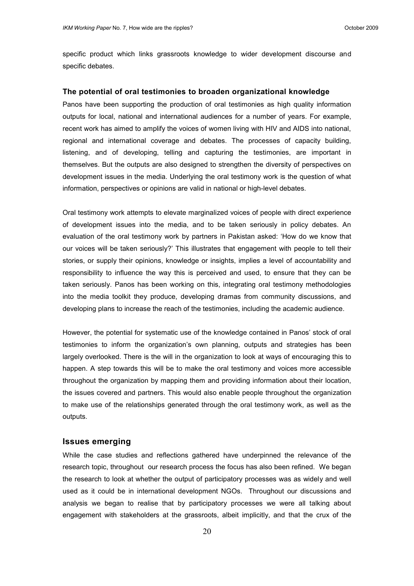specific product which links grassroots knowledge to wider development discourse and specific debates.

#### <span id="page-19-0"></span>**The potential of oral testimonies to broaden organizational knowledge**

Panos have been supporting the production of oral testimonies as high quality information outputs for local, national and international audiences for a number of years. For example, recent work has aimed to amplify the voices of women living with HIV and AIDS into national, regional and international coverage and debates. The processes of capacity building, listening, and of developing, telling and capturing the testimonies, are important in themselves. But the outputs are also designed to strengthen the diversity of perspectives on development issues in the media. Underlying the oral testimony work is the question of what information, perspectives or opinions are valid in national or high-level debates.

Oral testimony work attempts to elevate marginalized voices of people with direct experience of development issues into the media, and to be taken seriously in policy debates. An evaluation of the oral testimony work by partners in Pakistan asked: "How do we know that our voices will be taken seriously?" This illustrates that engagement with people to tell their stories, or supply their opinions, knowledge or insights, implies a level of accountability and responsibility to influence the way this is perceived and used, to ensure that they can be taken seriously. Panos has been working on this, integrating oral testimony methodologies into the media toolkit they produce, developing dramas from community discussions, and developing plans to increase the reach of the testimonies, including the academic audience.

However, the potential for systematic use of the knowledge contained in Panos" stock of oral testimonies to inform the organization"s own planning, outputs and strategies has been largely overlooked. There is the will in the organization to look at ways of encouraging this to happen. A step towards this will be to make the oral testimony and voices more accessible throughout the organization by mapping them and providing information about their location, the issues covered and partners. This would also enable people throughout the organization to make use of the relationships generated through the oral testimony work, as well as the outputs.

#### <span id="page-19-1"></span>**Issues emerging**

While the case studies and reflections gathered have underpinned the relevance of the research topic, throughout our research process the focus has also been refined. We began the research to look at whether the output of participatory processes was as widely and well used as it could be in international development NGOs. Throughout our discussions and analysis we began to realise that by participatory processes we were all talking about engagement with stakeholders at the grassroots, albeit implicitly, and that the crux of the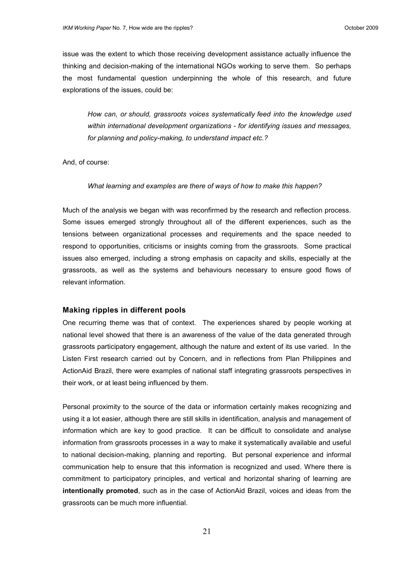issue was the extent to which those receiving development assistance actually influence the thinking and decision-making of the international NGOs working to serve them. So perhaps the most fundamental question underpinning the whole of this research, and future explorations of the issues, could be:

*How can, or should, grassroots voices systematically feed into the knowledge used within international development organizations - for identifying issues and messages, for planning and policy-making, to understand impact etc.?*

And, of course:

#### *What learning and examples are there of ways of how to make this happen?*

Much of the analysis we began with was reconfirmed by the research and reflection process. Some issues emerged strongly throughout all of the different experiences, such as the tensions between organizational processes and requirements and the space needed to respond to opportunities, criticisms or insights coming from the grassroots. Some practical issues also emerged, including a strong emphasis on capacity and skills, especially at the grassroots, as well as the systems and behaviours necessary to ensure good flows of relevant information.

#### <span id="page-20-0"></span>**Making ripples in different pools**

One recurring theme was that of context. The experiences shared by people working at national level showed that there is an awareness of the value of the data generated through grassroots participatory engagement, although the nature and extent of its use varied. In the Listen First research carried out by Concern, and in reflections from Plan Philippines and ActionAid Brazil, there were examples of national staff integrating grassroots perspectives in their work, or at least being influenced by them.

Personal proximity to the source of the data or information certainly makes recognizing and using it a lot easier, although there are still skills in identification, analysis and management of information which are key to good practice. It can be difficult to consolidate and analyse information from grassroots processes in a way to make it systematically available and useful to national decision-making, planning and reporting. But personal experience and informal communication help to ensure that this information is recognized and used. Where there is commitment to participatory principles, and vertical and horizontal sharing of learning are **intentionally promoted**, such as in the case of ActionAid Brazil, voices and ideas from the grassroots can be much more influential.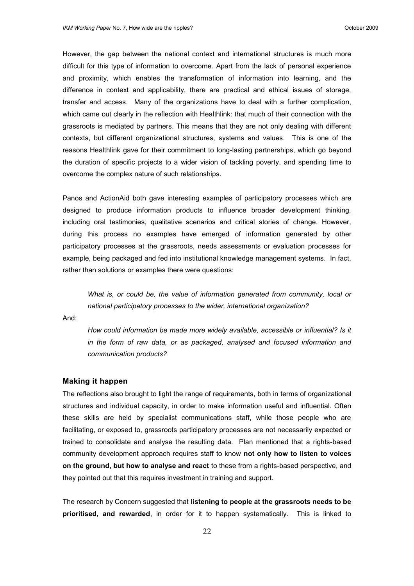However, the gap between the national context and international structures is much more difficult for this type of information to overcome. Apart from the lack of personal experience and proximity, which enables the transformation of information into learning, and the difference in context and applicability, there are practical and ethical issues of storage, transfer and access. Many of the organizations have to deal with a further complication, which came out clearly in the reflection with Healthlink: that much of their connection with the grassroots is mediated by partners. This means that they are not only dealing with different contexts, but different organizational structures, systems and values. This is one of the reasons Healthlink gave for their commitment to long-lasting partnerships, which go beyond the duration of specific projects to a wider vision of tackling poverty, and spending time to overcome the complex nature of such relationships.

Panos and ActionAid both gave interesting examples of participatory processes which are designed to produce information products to influence broader development thinking, including oral testimonies, qualitative scenarios and critical stories of change. However, during this process no examples have emerged of information generated by other participatory processes at the grassroots, needs assessments or evaluation processes for example, being packaged and fed into institutional knowledge management systems. In fact, rather than solutions or examples there were questions:

*What is, or could be, the value of information generated from community, local or national participatory processes to the wider, international organization?* 

And:

*How could information be made more widely available, accessible or influential? Is it in the form of raw data, or as packaged, analysed and focused information and communication products?*

#### <span id="page-21-0"></span>**Making it happen**

The reflections also brought to light the range of requirements, both in terms of organizational structures and individual capacity, in order to make information useful and influential. Often these skills are held by specialist communications staff, while those people who are facilitating, or exposed to, grassroots participatory processes are not necessarily expected or trained to consolidate and analyse the resulting data. Plan mentioned that a rights-based community development approach requires staff to know **not only how to listen to voices on the ground, but how to analyse and react** to these from a rights-based perspective, and they pointed out that this requires investment in training and support.

The research by Concern suggested that **listening to people at the grassroots needs to be prioritised, and rewarded**, in order for it to happen systematically. This is linked to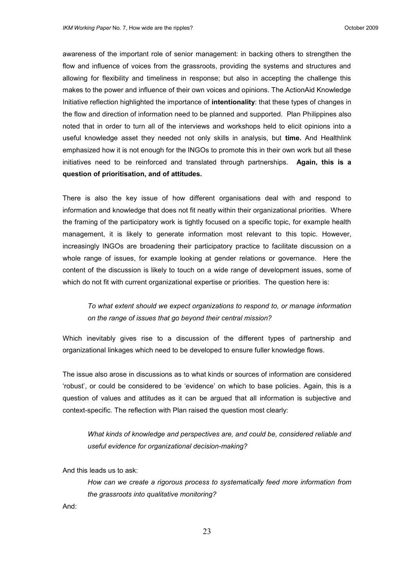awareness of the important role of senior management: in backing others to strengthen the flow and influence of voices from the grassroots, providing the systems and structures and allowing for flexibility and timeliness in response; but also in accepting the challenge this makes to the power and influence of their own voices and opinions. The ActionAid Knowledge Initiative reflection highlighted the importance of **intentionality**: that these types of changes in the flow and direction of information need to be planned and supported. Plan Philippines also noted that in order to turn all of the interviews and workshops held to elicit opinions into a useful knowledge asset they needed not only skills in analysis, but **time.** And Healthlink emphasized how it is not enough for the INGOs to promote this in their own work but all these initiatives need to be reinforced and translated through partnerships. **Again, this is a question of prioritisation, and of attitudes.** 

There is also the key issue of how different organisations deal with and respond to information and knowledge that does not fit neatly within their organizational priorities. Where the framing of the participatory work is tightly focused on a specific topic, for example health management, it is likely to generate information most relevant to this topic. However, increasingly INGOs are broadening their participatory practice to facilitate discussion on a whole range of issues, for example looking at gender relations or governance. Here the content of the discussion is likely to touch on a wide range of development issues, some of which do not fit with current organizational expertise or priorities. The question here is:

# *To what extent should we expect organizations to respond to, or manage information on the range of issues that go beyond their central mission?*

Which inevitably gives rise to a discussion of the different types of partnership and organizational linkages which need to be developed to ensure fuller knowledge flows.

The issue also arose in discussions as to what kinds or sources of information are considered "robust", or could be considered to be "evidence" on which to base policies. Again, this is a question of values and attitudes as it can be argued that all information is subjective and context-specific. The reflection with Plan raised the question most clearly:

*What kinds of knowledge and perspectives are, and could be, considered reliable and useful evidence for organizational decision-making?* 

And this leads us to ask:

*How can we create a rigorous process to systematically feed more information from the grassroots into qualitative monitoring?* 

And: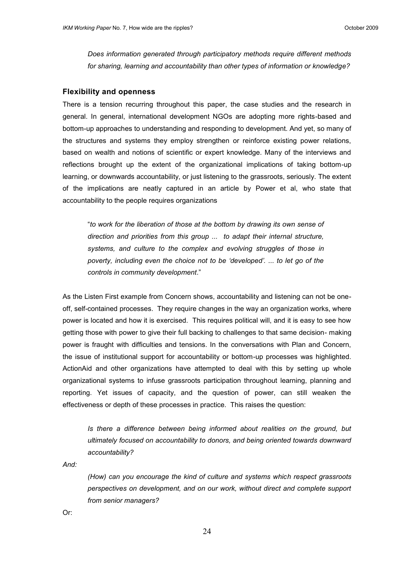*Does information generated through participatory methods require different methods for sharing, learning and accountability than other types of information or knowledge?*

#### <span id="page-23-0"></span>**Flexibility and openness**

There is a tension recurring throughout this paper, the case studies and the research in general. In general, international development NGOs are adopting more rights-based and bottom-up approaches to understanding and responding to development. And yet, so many of the structures and systems they employ strengthen or reinforce existing power relations, based on wealth and notions of scientific or expert knowledge. Many of the interviews and reflections brought up the extent of the organizational implications of taking bottom-up learning, or downwards accountability, or just listening to the grassroots, seriously. The extent of the implications are neatly captured in an article by Power et al, who state that accountability to the people requires organizations

"*to work for the liberation of those at the bottom by drawing its own sense of direction and priorities from this group ... to adapt their internal structure, systems, and culture to the complex and evolving struggles of those in poverty, including even the choice not to be 'developed'. ... to let go of the controls in community development*."

As the Listen First example from Concern shows, accountability and listening can not be oneoff, self-contained processes. They require changes in the way an organization works, where power is located and how it is exercised. This requires political will, and it is easy to see how getting those with power to give their full backing to challenges to that same decision- making power is fraught with difficulties and tensions. In the conversations with Plan and Concern, the issue of institutional support for accountability or bottom-up processes was highlighted. ActionAid and other organizations have attempted to deal with this by setting up whole organizational systems to infuse grassroots participation throughout learning, planning and reporting. Yet issues of capacity, and the question of power, can still weaken the effectiveness or depth of these processes in practice. This raises the question:

*Is there a difference between being informed about realities on the ground, but ultimately focused on accountability to donors, and being oriented towards downward accountability?*

*And:*

*(How) can you encourage the kind of culture and systems which respect grassroots perspectives on development, and on our work, without direct and complete support from senior managers?*

Or: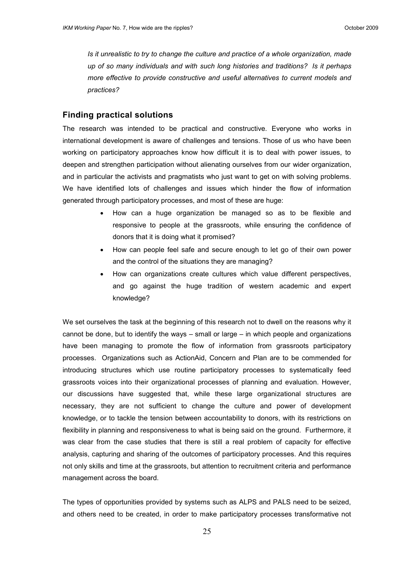*Is it unrealistic to try to change the culture and practice of a whole organization, made up of so many individuals and with such long histories and traditions? Is it perhaps more effective to provide constructive and useful alternatives to current models and practices?*

#### <span id="page-24-0"></span>**Finding practical solutions**

The research was intended to be practical and constructive. Everyone who works in international development is aware of challenges and tensions. Those of us who have been working on participatory approaches know how difficult it is to deal with power issues, to deepen and strengthen participation without alienating ourselves from our wider organization, and in particular the activists and pragmatists who just want to get on with solving problems. We have identified lots of challenges and issues which hinder the flow of information generated through participatory processes, and most of these are huge:

- How can a huge organization be managed so as to be flexible and responsive to people at the grassroots, while ensuring the confidence of donors that it is doing what it promised?
- How can people feel safe and secure enough to let go of their own power and the control of the situations they are managing?
- How can organizations create cultures which value different perspectives, and go against the huge tradition of western academic and expert knowledge?

We set ourselves the task at the beginning of this research not to dwell on the reasons why it cannot be done, but to identify the ways – small or large – in which people and organizations have been managing to promote the flow of information from grassroots participatory processes. Organizations such as ActionAid, Concern and Plan are to be commended for introducing structures which use routine participatory processes to systematically feed grassroots voices into their organizational processes of planning and evaluation. However, our discussions have suggested that, while these large organizational structures are necessary, they are not sufficient to change the culture and power of development knowledge, or to tackle the tension between accountability to donors, with its restrictions on flexibility in planning and responsiveness to what is being said on the ground. Furthermore, it was clear from the case studies that there is still a real problem of capacity for effective analysis, capturing and sharing of the outcomes of participatory processes. And this requires not only skills and time at the grassroots, but attention to recruitment criteria and performance management across the board.

The types of opportunities provided by systems such as ALPS and PALS need to be seized, and others need to be created, in order to make participatory processes transformative not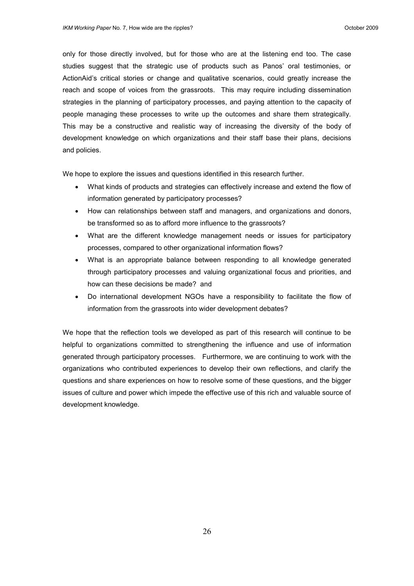only for those directly involved, but for those who are at the listening end too. The case studies suggest that the strategic use of products such as Panos' oral testimonies, or ActionAid"s critical stories or change and qualitative scenarios, could greatly increase the reach and scope of voices from the grassroots. This may require including dissemination strategies in the planning of participatory processes, and paying attention to the capacity of people managing these processes to write up the outcomes and share them strategically. This may be a constructive and realistic way of increasing the diversity of the body of development knowledge on which organizations and their staff base their plans, decisions and policies.

We hope to explore the issues and questions identified in this research further.

- What kinds of products and strategies can effectively increase and extend the flow of information generated by participatory processes?
- How can relationships between staff and managers, and organizations and donors, be transformed so as to afford more influence to the grassroots?
- What are the different knowledge management needs or issues for participatory processes, compared to other organizational information flows?
- What is an appropriate balance between responding to all knowledge generated through participatory processes and valuing organizational focus and priorities, and how can these decisions be made? and
- Do international development NGOs have a responsibility to facilitate the flow of information from the grassroots into wider development debates?

<span id="page-25-0"></span>We hope that the reflection tools we developed as part of this research will continue to be helpful to organizations committed to strengthening the influence and use of information generated through participatory processes. Furthermore, we are continuing to work with the organizations who contributed experiences to develop their own reflections, and clarify the questions and share experiences on how to resolve some of these questions, and the bigger issues of culture and power which impede the effective use of this rich and valuable source of development knowledge.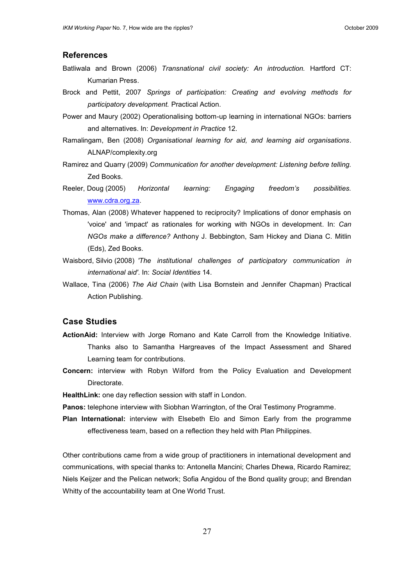# **References**

- Batliwala and Brown (2006) *Transnational civil society: An introduction.* Hartford CT: Kumarian Press.
- Brock and Pettit, 2007 *Springs of participation: Creating and evolving methods for participatory development.* Practical Action.
- Power and Maury (2002) Operationalising bottom-up learning in international NGOs: barriers and alternatives. In: *Development in Practice* 12.
- Ramalingam, Ben (2008) *Organisational learning for aid, and learning aid organisations*. ALNAP/complexity.org
- Ramirez and Quarry (2009) *Communication for another development: Listening before telling.* Zed Books.
- Reeler, Doug (2005) *Horizontal learning: Engaging freedom's possibilities.* [www.cdra.org.za.](http://www.cdra.org.za/)
- Thomas, Alan (2008) Whatever happened to reciprocity? Implications of donor emphasis on 'voice' and 'impact' as rationales for working with NGOs in development. In: *Can NGOs make a difference?* Anthony J. Bebbington, Sam Hickey and Diana C. Mitlin (Eds), Zed Books.
- Waisbord, Silvio (2008) *'The institutional challenges of participatory communication in international aid'*. In: *Social Identities* 14.
- Wallace, Tina (2006) *The Aid Chain* (with Lisa Bornstein and Jennifer Chapman) Practical Action Publishing.

# **Case Studies**

- **ActionAid:** Interview with Jorge Romano and Kate Carroll from the Knowledge Initiative. Thanks also to Samantha Hargreaves of the Impact Assessment and Shared Learning team for contributions.
- **Concern:** interview with Robyn Wilford from the Policy Evaluation and Development Directorate.
- **HealthLink:** one day reflection session with staff in London.
- **Panos:** telephone interview with Siobhan Warrington, of the Oral Testimony Programme.
- **Plan International:** interview with Elsebeth Elo and Simon Early from the programme effectiveness team, based on a reflection they held with Plan Philippines.

Other contributions came from a wide group of practitioners in international development and communications, with special thanks to: Antonella Mancini; Charles Dhewa, Ricardo Ramirez; Niels Keijzer and the Pelican network; Sofia Angidou of the Bond quality group; and Brendan Whitty of the accountability team at One World Trust.